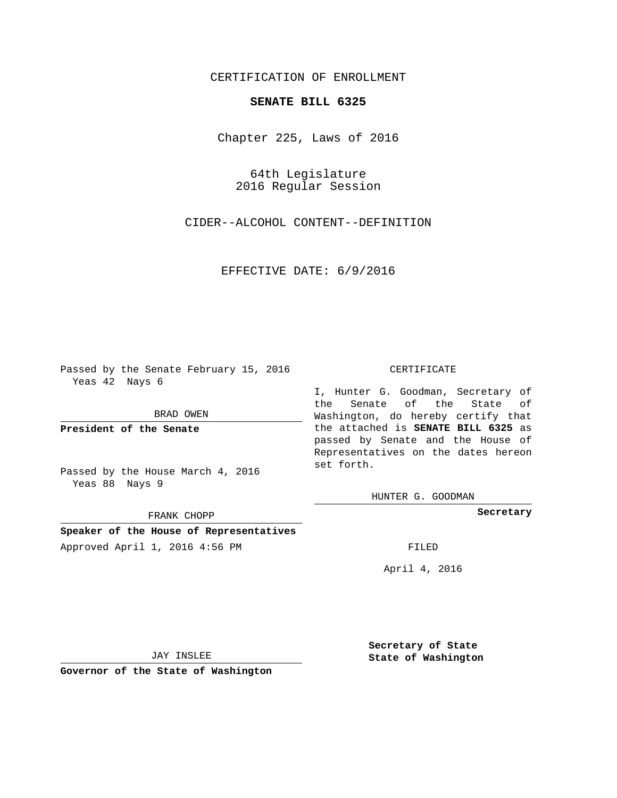## CERTIFICATION OF ENROLLMENT

## **SENATE BILL 6325**

Chapter 225, Laws of 2016

64th Legislature 2016 Regular Session

CIDER--ALCOHOL CONTENT--DEFINITION

EFFECTIVE DATE: 6/9/2016

Passed by the Senate February 15, 2016 Yeas 42 Nays 6

BRAD OWEN

**President of the Senate**

Passed by the House March 4, 2016 Yeas 88 Nays 9

FRANK CHOPP

**Speaker of the House of Representatives** Approved April 1, 2016 4:56 PM FILED

## CERTIFICATE

I, Hunter G. Goodman, Secretary of the Senate of the State of Washington, do hereby certify that the attached is **SENATE BILL 6325** as passed by Senate and the House of Representatives on the dates hereon set forth.

HUNTER G. GOODMAN

**Secretary**

April 4, 2016

JAY INSLEE

**Governor of the State of Washington**

**Secretary of State State of Washington**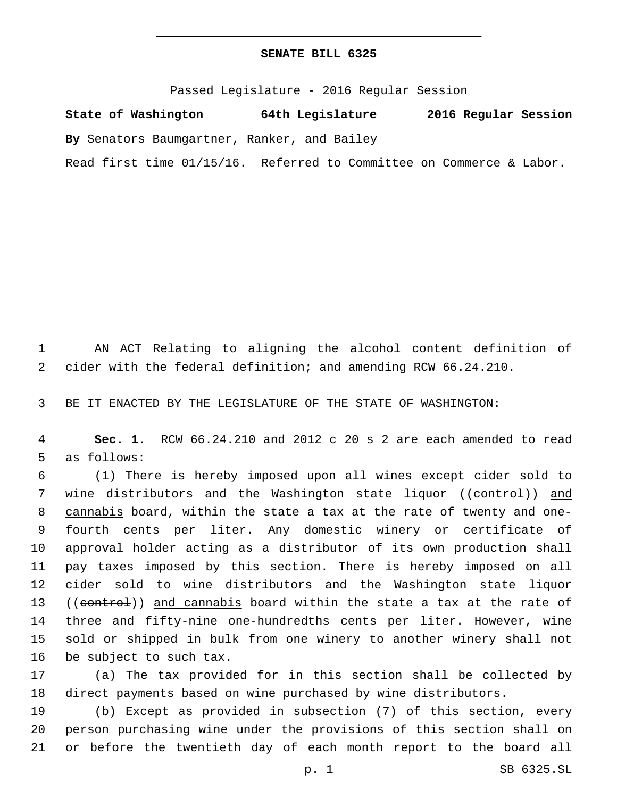## **SENATE BILL 6325**

Passed Legislature - 2016 Regular Session

**State of Washington 64th Legislature 2016 Regular Session**

**By** Senators Baumgartner, Ranker, and Bailey

Read first time 01/15/16. Referred to Committee on Commerce & Labor.

 AN ACT Relating to aligning the alcohol content definition of cider with the federal definition; and amending RCW 66.24.210.

BE IT ENACTED BY THE LEGISLATURE OF THE STATE OF WASHINGTON:

 **Sec. 1.** RCW 66.24.210 and 2012 c 20 s 2 are each amended to read 5 as follows:

 (1) There is hereby imposed upon all wines except cider sold to 7 wine distributors and the Washington state liquor ((control)) and cannabis board, within the state a tax at the rate of twenty and one- fourth cents per liter. Any domestic winery or certificate of approval holder acting as a distributor of its own production shall pay taxes imposed by this section. There is hereby imposed on all cider sold to wine distributors and the Washington state liquor 13 ((control)) and cannabis board within the state a tax at the rate of three and fifty-nine one-hundredths cents per liter. However, wine sold or shipped in bulk from one winery to another winery shall not 16 be subject to such tax.

 (a) The tax provided for in this section shall be collected by direct payments based on wine purchased by wine distributors.

 (b) Except as provided in subsection (7) of this section, every person purchasing wine under the provisions of this section shall on or before the twentieth day of each month report to the board all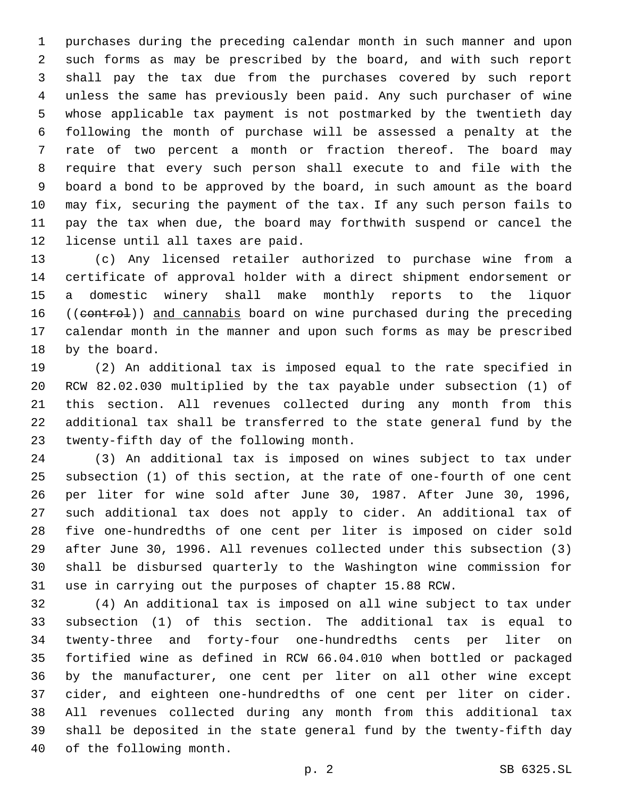purchases during the preceding calendar month in such manner and upon such forms as may be prescribed by the board, and with such report shall pay the tax due from the purchases covered by such report unless the same has previously been paid. Any such purchaser of wine whose applicable tax payment is not postmarked by the twentieth day following the month of purchase will be assessed a penalty at the rate of two percent a month or fraction thereof. The board may require that every such person shall execute to and file with the board a bond to be approved by the board, in such amount as the board may fix, securing the payment of the tax. If any such person fails to pay the tax when due, the board may forthwith suspend or cancel the 12 license until all taxes are paid.

 (c) Any licensed retailer authorized to purchase wine from a certificate of approval holder with a direct shipment endorsement or a domestic winery shall make monthly reports to the liquor 16 ((control)) and cannabis board on wine purchased during the preceding calendar month in the manner and upon such forms as may be prescribed 18 by the board.

 (2) An additional tax is imposed equal to the rate specified in RCW 82.02.030 multiplied by the tax payable under subsection (1) of this section. All revenues collected during any month from this additional tax shall be transferred to the state general fund by the 23 twenty-fifth day of the following month.

 (3) An additional tax is imposed on wines subject to tax under subsection (1) of this section, at the rate of one-fourth of one cent per liter for wine sold after June 30, 1987. After June 30, 1996, such additional tax does not apply to cider. An additional tax of five one-hundredths of one cent per liter is imposed on cider sold after June 30, 1996. All revenues collected under this subsection (3) shall be disbursed quarterly to the Washington wine commission for use in carrying out the purposes of chapter 15.88 RCW.

 (4) An additional tax is imposed on all wine subject to tax under subsection (1) of this section. The additional tax is equal to twenty-three and forty-four one-hundredths cents per liter on fortified wine as defined in RCW 66.04.010 when bottled or packaged by the manufacturer, one cent per liter on all other wine except cider, and eighteen one-hundredths of one cent per liter on cider. All revenues collected during any month from this additional tax shall be deposited in the state general fund by the twenty-fifth day 40 of the following month.